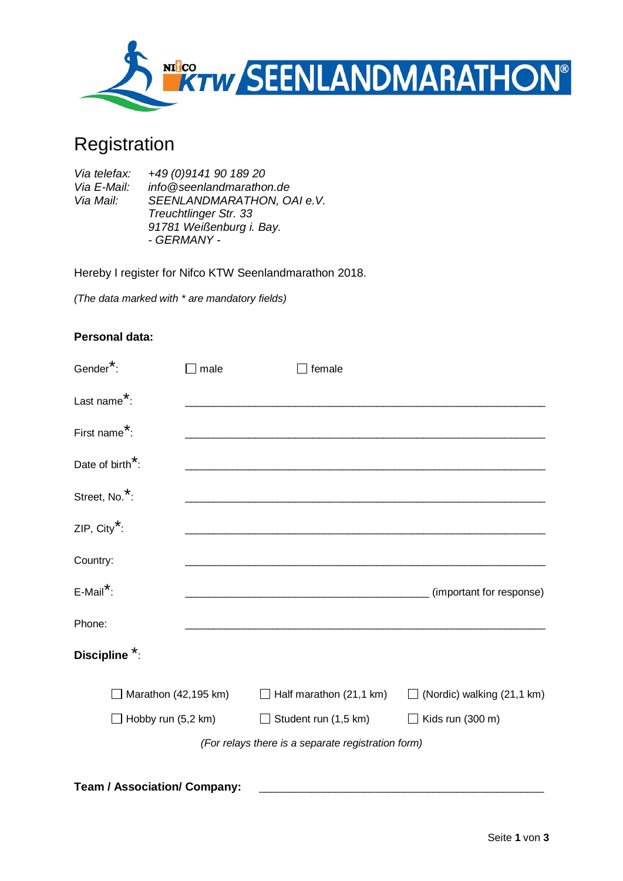

# Registration

| Via telefax: | +49 (0) 9141 90 189 20       |
|--------------|------------------------------|
| Via E-Mail:  | info@seenlandmarathon.de     |
| Via Mail:    | SEENLANDMARATHON, OAI e.V.   |
|              | <b>Treuchtlinger Str. 33</b> |
|              | 91781 Weißenburg i. Bay.     |
|              | - GERMANY -                  |

Hereby I register for Nifco KTW Seenlandmarathon 2018.

*(The data marked with \* are mandatory fields)*

## **Personal data:**

| Gender <sup>*</sup> :                              | male | female                                               |                                       |  |
|----------------------------------------------------|------|------------------------------------------------------|---------------------------------------|--|
| Last name <sup>*</sup> :                           |      |                                                      |                                       |  |
| First name <sup>*</sup> :                          |      |                                                      |                                       |  |
| Date of birth <sup>*</sup> :                       |      | <u> 1980 - Johann Barn, fransk politik (d. 1980)</u> |                                       |  |
| Street, No. <sup>*</sup> :                         |      | <u> 1989 - Johann Barn, fransk politik (d. 1989)</u> |                                       |  |
| ZIP, City <sup>*</sup> :                           |      |                                                      |                                       |  |
| Country:                                           |      |                                                      |                                       |  |
| $E$ -Mail <sup>*</sup> :                           |      |                                                      | (important for response)              |  |
| Phone:                                             |      |                                                      |                                       |  |
| Discipline <sup>*</sup> :                          |      |                                                      |                                       |  |
| Marathon (42,195 km)                               |      | Half marathon (21,1 km)                              | (Nordic) walking (21,1 km)<br>$\perp$ |  |
| $\Box$ Hobby run (5,2 km)                          |      | Student run (1,5 km)                                 | $\Box$ Kids run (300 m)               |  |
| (For relays there is a separate registration form) |      |                                                      |                                       |  |
|                                                    |      |                                                      |                                       |  |

**Team / Association/ Company:**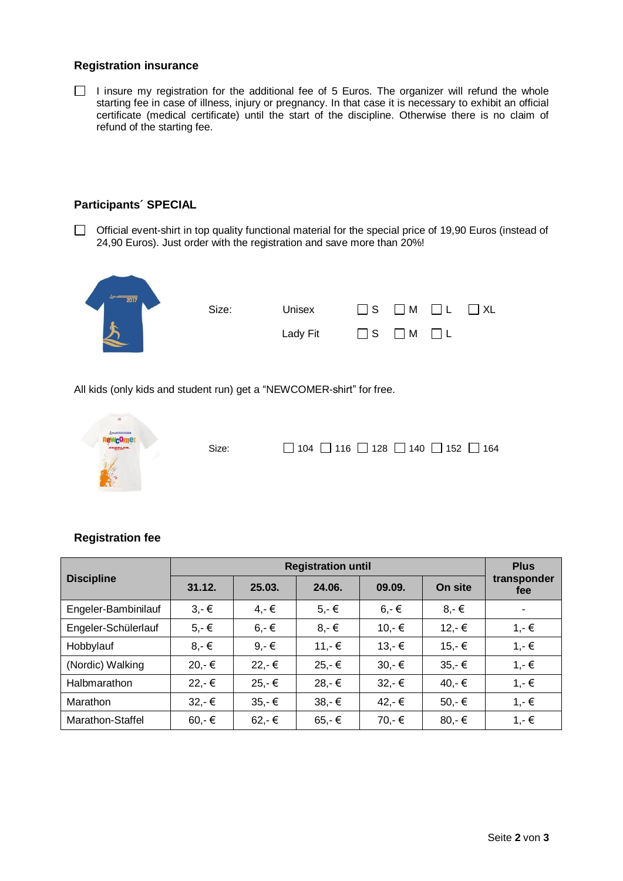#### **Registration insurance**

 $\Box$  I insure my registration for the additional fee of 5 Euros. The organizer will refund the whole starting fee in case of illness, injury or pregnancy. In that case it is necessary to exhibit an official certificate (medical certificate) until the start of the discipline. Otherwise there is no claim of refund of the starting fee.

#### **Participants´ SPECIAL**

□ Official event-shirt in top quality functional material for the special price of 19,90 Euros (instead of 24,90 Euros). Just order with the registration and save more than 20%!



All kids (only kids and student run) get a "NEWCOMER-shirt" for free.



## **Registration fee**

| <b>Discipline</b>   |                | <b>Plus</b>     |          |                |                |                    |
|---------------------|----------------|-----------------|----------|----------------|----------------|--------------------|
|                     | 31.12.         | 25.03.          | 24.06.   | 09.09.         | On site        | transponder<br>fee |
| Engeler-Bambinilauf | $3 - \epsilon$ | $4,-€$          | $5,-\in$ | $6 - \epsilon$ | $8 - \epsilon$ |                    |
| Engeler-Schülerlauf | $5, -\in$      | $6 - \epsilon$  | $8,-€$   | $10,-$ €       | $12,-€$        | $1,-€$             |
| Hobbylauf           | $8, -\epsilon$ | $9, -6$         | $11,-€$  | $13,-€$        | $15,-€$        | $1,-€$             |
| (Nordic) Walking    | 20,-€          | 22,-€           | $25,-€$  | $30,-$ €       | $35,-€$        | $1,-€$             |
| Halbmarathon        | $22,-€$        | $25,-€$         | 28,-€    | $32,-€$        | 40,-€          | $1,-€$             |
| Marathon            | $32,-€$        | $35 - €$        | $38,-€$  | 42,-€          | $50,-$ €       | $1,-€$             |
| Marathon-Staffel    | $60,-$ €       | $62 - \epsilon$ | $65,-€$  | $70,-$ €       | 80,-€          | $1,-€$             |